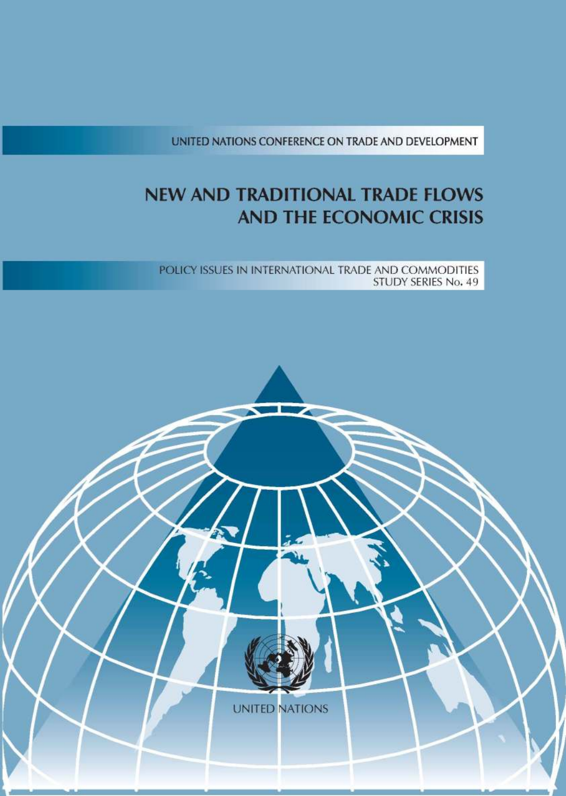UNITED NATIONS CONFERENCE ON TRADE AND DEVELOPMENT

#### **NEW AND TRADITIONAL TRADE FLOWS AND THE ECONOMIC CRISIS**

POLICY ISSUES IN INTERNATIONAL TRADE AND COMMODITIES STUDY SERIES No. 49

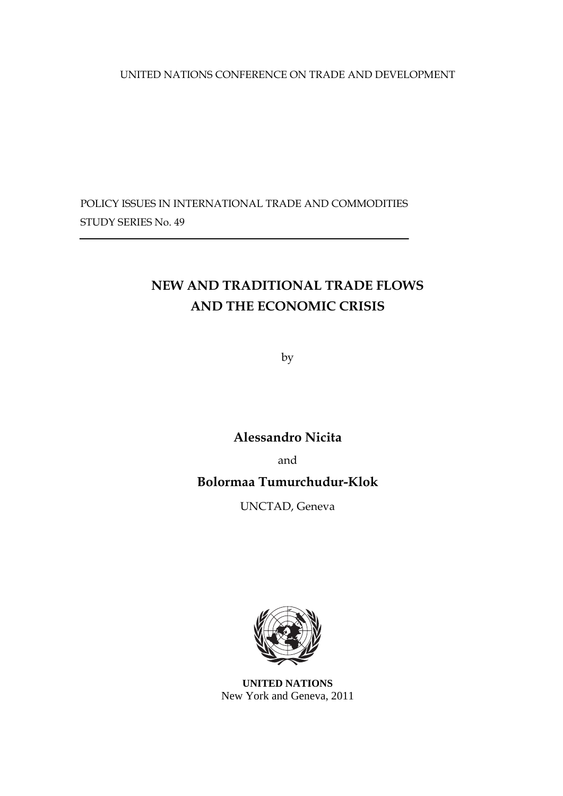UNITED NATIONS CONFERENCE ON TRADE AND DEVELOPMENT

POLICY ISSUES IN INTERNATIONAL TRADE AND COMMODITIES STUDY SERIES No. 49

# **NEW AND TRADITIONAL TRADE FLOWS AND THE ECONOMIC CRISIS**

by

**Alessandro Nicita** 

and

## **Bolormaa Tumurchudur-Klok**

UNCTAD, Geneva



**UNITED NATIONS**  New York and Geneva, 2011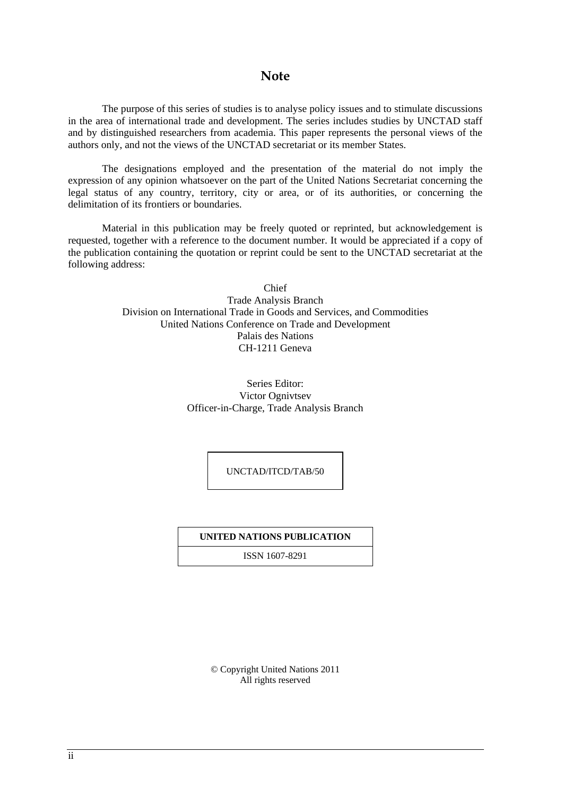### **Note**

 The purpose of this series of studies is to analyse policy issues and to stimulate discussions in the area of international trade and development. The series includes studies by UNCTAD staff and by distinguished researchers from academia. This paper represents the personal views of the authors only, and not the views of the UNCTAD secretariat or its member States.

 The designations employed and the presentation of the material do not imply the expression of any opinion whatsoever on the part of the United Nations Secretariat concerning the legal status of any country, territory, city or area, or of its authorities, or concerning the delimitation of its frontiers or boundaries.

 Material in this publication may be freely quoted or reprinted, but acknowledgement is requested, together with a reference to the document number. It would be appreciated if a copy of the publication containing the quotation or reprint could be sent to the UNCTAD secretariat at the following address:

> Chief Trade Analysis Branch Division on International Trade in Goods and Services, and Commodities United Nations Conference on Trade and Development Palais des Nations CH-1211 Geneva

> > Series Editor: Victor Ognivtsev Officer-in-Charge, Trade Analysis Branch

> > > UNCTAD/ITCD/TAB/50

#### **UNITED NATIONS PUBLICATION**

ISSN 1607-8291

© Copyright United Nations 2011 All rights reserved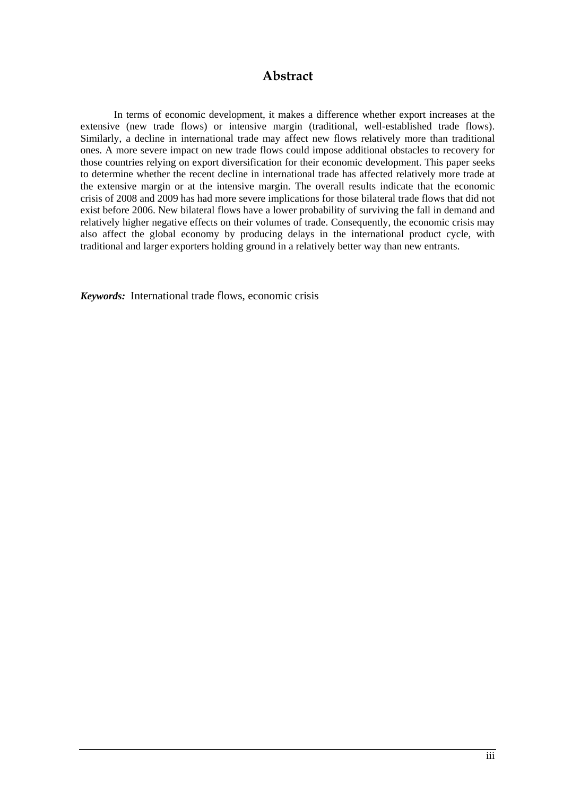### **Abstract**

In terms of economic development, it makes a difference whether export increases at the extensive (new trade flows) or intensive margin (traditional, well-established trade flows). Similarly, a decline in international trade may affect new flows relatively more than traditional ones. A more severe impact on new trade flows could impose additional obstacles to recovery for those countries relying on export diversification for their economic development. This paper seeks to determine whether the recent decline in international trade has affected relatively more trade at the extensive margin or at the intensive margin. The overall results indicate that the economic crisis of 2008 and 2009 has had more severe implications for those bilateral trade flows that did not exist before 2006. New bilateral flows have a lower probability of surviving the fall in demand and relatively higher negative effects on their volumes of trade. Consequently, the economic crisis may also affect the global economy by producing delays in the international product cycle, with traditional and larger exporters holding ground in a relatively better way than new entrants.

*Keywords:* International trade flows, economic crisis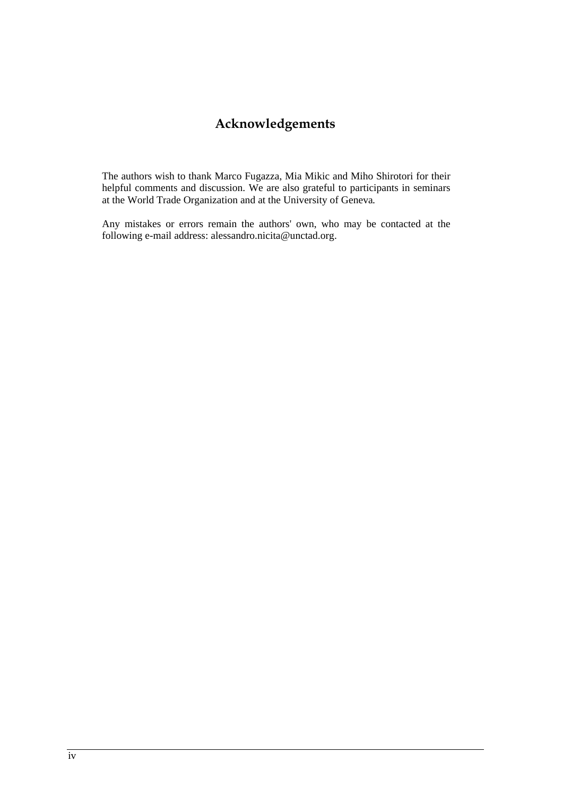# **Acknowledgements**

The authors wish to thank Marco Fugazza, Mia Mikic and Miho Shirotori for their helpful comments and discussion. We are also grateful to participants in seminars at the World Trade Organization and at the University of Geneva*.* 

Any mistakes or errors remain the authors' own, who may be contacted at the following e-mail address: alessandro.nicita@unctad.org.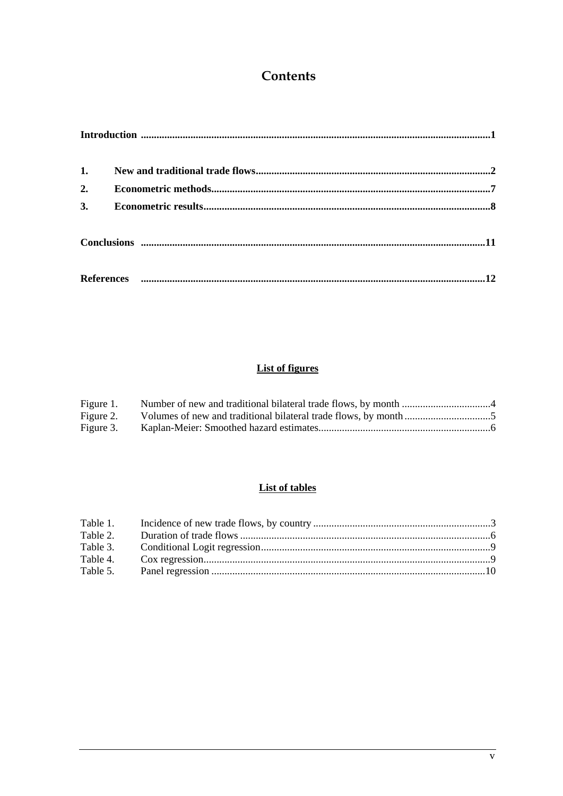## **Contents**

| 1. |  |
|----|--|
| 2. |  |
| 3. |  |
|    |  |
|    |  |

### **List of figures**

| Figure 1. |  |
|-----------|--|
| Figure 2. |  |
| Figure 3. |  |

### **List of tables**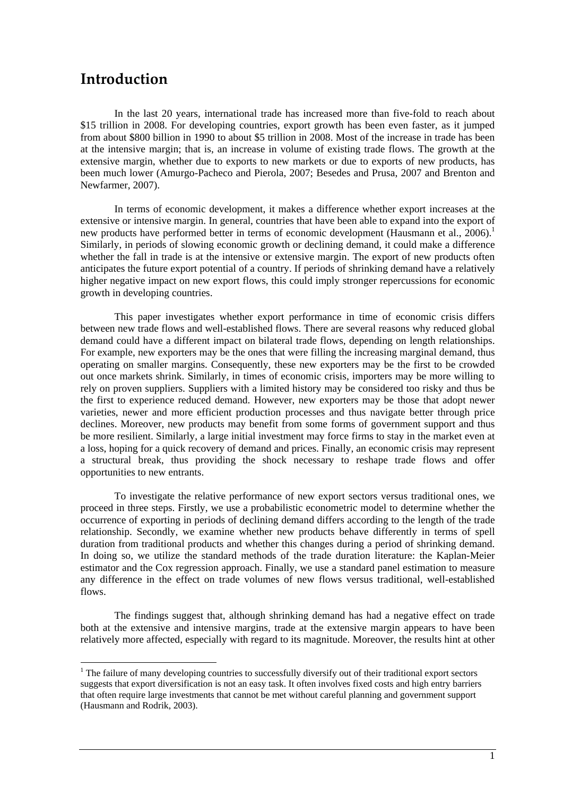## **Introduction**

1

In the last 20 years, international trade has increased more than five-fold to reach about \$15 trillion in 2008. For developing countries, export growth has been even faster, as it jumped from about \$800 billion in 1990 to about \$5 trillion in 2008. Most of the increase in trade has been at the intensive margin; that is, an increase in volume of existing trade flows. The growth at the extensive margin, whether due to exports to new markets or due to exports of new products, has been much lower (Amurgo-Pacheco and Pierola, 2007; Besedes and Prusa, 2007 and Brenton and Newfarmer, 2007).

In terms of economic development, it makes a difference whether export increases at the extensive or intensive margin. In general, countries that have been able to expand into the export of new products have performed better in terms of economic development (Hausmann et al., 2006).<sup>1</sup> Similarly, in periods of slowing economic growth or declining demand, it could make a difference whether the fall in trade is at the intensive or extensive margin. The export of new products often anticipates the future export potential of a country. If periods of shrinking demand have a relatively higher negative impact on new export flows, this could imply stronger repercussions for economic growth in developing countries.

This paper investigates whether export performance in time of economic crisis differs between new trade flows and well-established flows. There are several reasons why reduced global demand could have a different impact on bilateral trade flows, depending on length relationships. For example, new exporters may be the ones that were filling the increasing marginal demand, thus operating on smaller margins. Consequently, these new exporters may be the first to be crowded out once markets shrink. Similarly, in times of economic crisis, importers may be more willing to rely on proven suppliers. Suppliers with a limited history may be considered too risky and thus be the first to experience reduced demand. However, new exporters may be those that adopt newer varieties, newer and more efficient production processes and thus navigate better through price declines. Moreover, new products may benefit from some forms of government support and thus be more resilient. Similarly, a large initial investment may force firms to stay in the market even at a loss, hoping for a quick recovery of demand and prices. Finally, an economic crisis may represent a structural break, thus providing the shock necessary to reshape trade flows and offer opportunities to new entrants.

To investigate the relative performance of new export sectors versus traditional ones, we proceed in three steps. Firstly, we use a probabilistic econometric model to determine whether the occurrence of exporting in periods of declining demand differs according to the length of the trade relationship. Secondly, we examine whether new products behave differently in terms of spell duration from traditional products and whether this changes during a period of shrinking demand. In doing so, we utilize the standard methods of the trade duration literature: the Kaplan-Meier estimator and the Cox regression approach. Finally, we use a standard panel estimation to measure any difference in the effect on trade volumes of new flows versus traditional, well-established flows.

The findings suggest that, although shrinking demand has had a negative effect on trade both at the extensive and intensive margins, trade at the extensive margin appears to have been relatively more affected, especially with regard to its magnitude. Moreover, the results hint at other

<sup>&</sup>lt;sup>1</sup> The failure of many developing countries to successfully diversify out of their traditional export sectors suggests that export diversification is not an easy task. It often involves fixed costs and high entry barriers that often require large investments that cannot be met without careful planning and government support (Hausmann and Rodrik, 2003).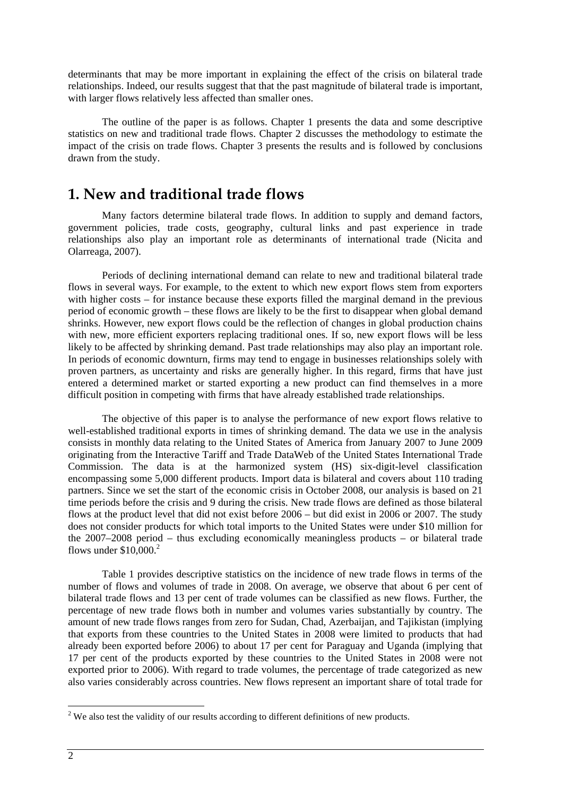determinants that may be more important in explaining the effect of the crisis on bilateral trade relationships. Indeed, our results suggest that that the past magnitude of bilateral trade is important, with larger flows relatively less affected than smaller ones.

The outline of the paper is as follows. Chapter 1 presents the data and some descriptive statistics on new and traditional trade flows. Chapter 2 discusses the methodology to estimate the impact of the crisis on trade flows. Chapter 3 presents the results and is followed by conclusions drawn from the study.

## **1. New and traditional trade flows**

Many factors determine bilateral trade flows. In addition to supply and demand factors, government policies, trade costs, geography, cultural links and past experience in trade relationships also play an important role as determinants of international trade (Nicita and Olarreaga, 2007).

Periods of declining international demand can relate to new and traditional bilateral trade flows in several ways. For example, to the extent to which new export flows stem from exporters with higher costs – for instance because these exports filled the marginal demand in the previous period of economic growth – these flows are likely to be the first to disappear when global demand shrinks. However, new export flows could be the reflection of changes in global production chains with new, more efficient exporters replacing traditional ones. If so, new export flows will be less likely to be affected by shrinking demand. Past trade relationships may also play an important role. In periods of economic downturn, firms may tend to engage in businesses relationships solely with proven partners, as uncertainty and risks are generally higher. In this regard, firms that have just entered a determined market or started exporting a new product can find themselves in a more difficult position in competing with firms that have already established trade relationships.

The objective of this paper is to analyse the performance of new export flows relative to well-established traditional exports in times of shrinking demand. The data we use in the analysis consists in monthly data relating to the United States of America from January 2007 to June 2009 originating from the Interactive Tariff and Trade DataWeb of the United States International Trade Commission. The data is at the harmonized system (HS) six-digit-level classification encompassing some 5,000 different products. Import data is bilateral and covers about 110 trading partners. Since we set the start of the economic crisis in October 2008, our analysis is based on 21 time periods before the crisis and 9 during the crisis. New trade flows are defined as those bilateral flows at the product level that did not exist before 2006 – but did exist in 2006 or 2007. The study does not consider products for which total imports to the United States were under \$10 million for the 2007–2008 period – thus excluding economically meaningless products – or bilateral trade flows under  $$10,000.<sup>2</sup>$ 

Table 1 provides descriptive statistics on the incidence of new trade flows in terms of the number of flows and volumes of trade in 2008. On average, we observe that about 6 per cent of bilateral trade flows and 13 per cent of trade volumes can be classified as new flows. Further, the percentage of new trade flows both in number and volumes varies substantially by country. The amount of new trade flows ranges from zero for Sudan, Chad, Azerbaijan, and Tajikistan (implying that exports from these countries to the United States in 2008 were limited to products that had already been exported before 2006) to about 17 per cent for Paraguay and Uganda (implying that 17 per cent of the products exported by these countries to the United States in 2008 were not exported prior to 2006). With regard to trade volumes, the percentage of trade categorized as new also varies considerably across countries. New flows represent an important share of total trade for

<sup>&</sup>lt;sup>2</sup> We also test the validity of our results according to different definitions of new products.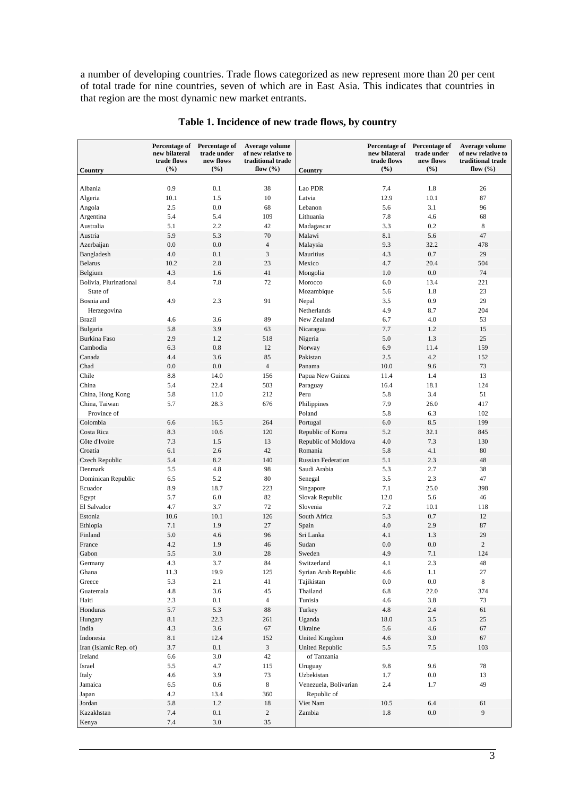a number of developing countries. Trade flows categorized as new represent more than 20 per cent of total trade for nine countries, seven of which are in East Asia. This indicates that countries in that region are the most dynamic new market entrants.

|                                    | Percentage of<br>new bilateral<br>trade flows | Percentage of<br>trade under<br>new flows | Average volume<br>of new relative to<br>traditional trade |                               | Percentage of<br>new bilateral<br>trade flows | Percentage of<br>trade under<br>new flows | Average volume<br>of new relative to<br>traditional trade |
|------------------------------------|-----------------------------------------------|-------------------------------------------|-----------------------------------------------------------|-------------------------------|-----------------------------------------------|-------------------------------------------|-----------------------------------------------------------|
| Country                            | (%)                                           | (%)                                       | flow $(\% )$                                              | Country                       | (%)                                           | (%)                                       | flow $(\% )$                                              |
| Albania                            | 0.9                                           | 0.1                                       | 38                                                        | Lao PDR                       | 7.4                                           | 1.8                                       | 26                                                        |
| Algeria                            | 10.1                                          | 1.5                                       | 10                                                        | Latvia                        | 12.9                                          | 10.1                                      | 87                                                        |
| Angola                             | 2.5                                           | 0.0                                       | 68                                                        | Lebanon                       | 5.6                                           | 3.1                                       | 96                                                        |
| Argentina                          | 5.4                                           | 5.4                                       | 109                                                       | Lithuania                     | 7.8                                           | 4.6                                       | 68                                                        |
| Australia                          | 5.1                                           | 2.2                                       | 42                                                        | Madagascar                    | 3.3                                           | 0.2                                       | 8                                                         |
| Austria                            | 5.9                                           | 5.3                                       | 70                                                        | Malawi                        | 8.1                                           | 5.6                                       | 47                                                        |
| Azerbaijan                         | 0.0                                           | 0.0                                       | $\overline{4}$                                            | Malaysia                      | 9.3                                           | 32.2                                      | 478                                                       |
| Bangladesh                         | 4.0                                           | 0.1                                       | $\mathfrak z$                                             | Mauritius                     | 4.3                                           | 0.7                                       | 29                                                        |
| <b>Belarus</b>                     | 10.2                                          | 2.8                                       | 23                                                        | Mexico                        | 4.7                                           | 20.4                                      | 504                                                       |
| Belgium                            | 4.3                                           | 1.6                                       | 41                                                        | Mongolia                      | 1.0                                           | 0.0                                       | 74                                                        |
| Bolivia, Plurinational<br>State of | 8.4                                           | 7.8                                       | 72                                                        | Morocco<br>Mozambique         | 6.0<br>5.6                                    | 13.4<br>1.8                               | 221<br>23                                                 |
| Bosnia and                         | 4.9                                           | 2.3                                       | 91                                                        | Nepal                         | 3.5                                           | 0.9                                       | 29                                                        |
| Herzegovina                        |                                               |                                           |                                                           | Netherlands                   | 4.9                                           | 8.7                                       | 204                                                       |
| <b>Brazil</b>                      | 4.6                                           | 3.6                                       | 89                                                        | New Zealand                   | 6.7                                           | 4.0                                       | 53                                                        |
| Bulgaria                           | 5.8                                           | 3.9                                       | 63                                                        | Nicaragua                     | 7.7                                           | 1.2                                       | 15                                                        |
| Burkina Faso                       | 2.9                                           | 1.2                                       | 518                                                       | Nigeria                       | 5.0                                           | 1.3                                       | 25                                                        |
| Cambodia                           | 6.3                                           | 0.8                                       | 12                                                        | Norway                        | 6.9                                           | 11.4                                      | 159                                                       |
| Canada                             | 4.4                                           | 3.6                                       | 85                                                        | Pakistan                      | 2.5                                           | 4.2                                       | 152                                                       |
| Chad                               | 0.0                                           | 0.0                                       | $\overline{4}$                                            | Panama                        | 10.0                                          | 9.6                                       | 73                                                        |
| Chile                              | 8.8                                           | 14.0                                      | 156                                                       | Papua New Guinea              | 11.4                                          | 1.4                                       | 13                                                        |
| China                              | 5.4                                           | 22.4                                      | 503                                                       | Paraguay                      | 16.4                                          | 18.1                                      | 124                                                       |
| China, Hong Kong                   | 5.8                                           | 11.0                                      | 212                                                       | Peru                          | 5.8                                           | 3.4                                       | 51                                                        |
| China, Taiwan                      | 5.7                                           | 28.3                                      | 676                                                       | Philippines                   | 7.9                                           | 26.0                                      | 417                                                       |
| Province of                        |                                               |                                           |                                                           | Poland                        | 5.8                                           | 6.3                                       | 102                                                       |
| Colombia<br>Costa Rica             | 6.6<br>8.3                                    | 16.5<br>10.6                              | 264<br>120                                                | Portugal<br>Republic of Korea | 6.0<br>5.2                                    | 8.5<br>32.1                               | 199<br>845                                                |
| Côte d'Ivoire                      | 7.3                                           | 1.5                                       | 13                                                        | Republic of Moldova           | 4.0                                           | 7.3                                       | 130                                                       |
| Croatia                            | 6.1                                           | 2.6                                       | 42                                                        | Romania                       | 5.8                                           | 4.1                                       | 80                                                        |
| Czech Republic                     | 5.4                                           | 8.2                                       | 140                                                       | <b>Russian Federation</b>     | 5.1                                           | 2.3                                       | 48                                                        |
| Denmark                            | 5.5                                           | 4.8                                       | 98                                                        | Saudi Arabia                  | 5.3                                           | 2.7                                       | 38                                                        |
| Dominican Republic                 | 6.5                                           | 5.2                                       | 80                                                        | Senegal                       | 3.5                                           | 2.3                                       | 47                                                        |
| Ecuador                            | 8.9                                           | 18.7                                      | 223                                                       | Singapore                     | 7.1                                           | 25.0                                      | 398                                                       |
| Egypt                              | 5.7                                           | 6.0                                       | 82                                                        | Slovak Republic               | 12.0                                          | 5.6                                       | 46                                                        |
| El Salvador                        | 4.7                                           | 3.7                                       | 72                                                        | Slovenia                      | 7.2                                           | 10.1                                      | 118                                                       |
| Estonia                            | 10.6                                          | 10.1                                      | 126                                                       | South Africa                  | 5.3                                           | 0.7                                       | 12                                                        |
| Ethiopia                           | 7.1                                           | 1.9                                       | 27                                                        | Spain                         | 4.0                                           | 2.9                                       | 87                                                        |
| Finland                            | 5.0                                           | 4.6                                       | 96                                                        | Sri Lanka                     | 4.1                                           | 1.3                                       | 29                                                        |
| France                             | 4.2                                           | 1.9                                       | 46                                                        | Sudan                         | 0.0                                           | 0.0                                       | 2                                                         |
| Gabon                              | 5.5                                           | 3.0                                       | 28                                                        | Sweden                        | 4.9                                           | 7.1                                       | 124                                                       |
| Germany                            | 4.3                                           | 3.7                                       | 84                                                        | Switzerland                   | 4.1                                           | $2.3\,$                                   | 48                                                        |
| Ghana                              | 11.3                                          | 19.9                                      | 125                                                       | Syrian Arab Republic          | 4.6                                           | 1.1                                       | $27\,$                                                    |
| Greece                             | 5.3                                           | 2.1                                       | 41                                                        | Tajikistan                    | 0.0                                           | 0.0                                       | 8                                                         |
| Guatemala                          | $4.8\,$                                       | 3.6                                       | 45                                                        | Thailand                      | 6.8                                           | 22.0                                      | 374                                                       |
| Haiti                              | 2.3                                           | 0.1                                       | $\overline{4}$                                            | Tunisia                       | 4.6                                           | 3.8                                       | 73                                                        |
| Honduras                           | 5.7                                           | 5.3                                       | 88                                                        | Turkey                        | 4.8                                           | 2.4                                       | 61                                                        |
| Hungary<br>India                   | 8.1<br>4.3                                    | 22.3<br>3.6                               | 261<br>67                                                 | Uganda<br>Ukraine             | 18.0<br>5.6                                   | 3.5<br>4.6                                | $25\,$<br>67                                              |
| Indonesia                          | 8.1                                           | 12.4                                      | 152                                                       | <b>United Kingdom</b>         | 4.6                                           | 3.0                                       | 67                                                        |
| Iran (Islamic Rep. of)             | 3.7                                           | 0.1                                       | $\mathfrak{Z}$                                            | <b>United Republic</b>        | 5.5                                           | 7.5                                       | 103                                                       |
| Ireland                            | 6.6                                           | $3.0\,$                                   | 42                                                        | of Tanzania                   |                                               |                                           |                                                           |
| Israel                             | 5.5                                           | 4.7                                       | 115                                                       | Uruguay                       | 9.8                                           | 9.6                                       | 78                                                        |
| Italy                              | 4.6                                           | 3.9                                       | 73                                                        | Uzbekistan                    | 1.7                                           | $0.0\,$                                   | 13                                                        |
| Jamaica                            | 6.5                                           | $0.6\,$                                   | $\,8\,$                                                   | Venezuela, Bolivarian         | 2.4                                           | 1.7                                       | 49                                                        |
| Japan                              | 4.2                                           | 13.4                                      | 360                                                       | Republic of                   |                                               |                                           |                                                           |
| Jordan                             | 5.8                                           | 1.2                                       | 18                                                        | Viet Nam                      | 10.5                                          | 6.4                                       | 61                                                        |
| Kazakhstan                         | $7.4\,$                                       | 0.1                                       | $\sqrt{2}$                                                | Zambia                        | $1.8\,$                                       | $0.0\,$                                   | 9                                                         |
| Kenya                              | $7.4\,$                                       | $3.0\,$                                   | 35                                                        |                               |                                               |                                           |                                                           |

### **Table 1. Incidence of new trade flows, by country**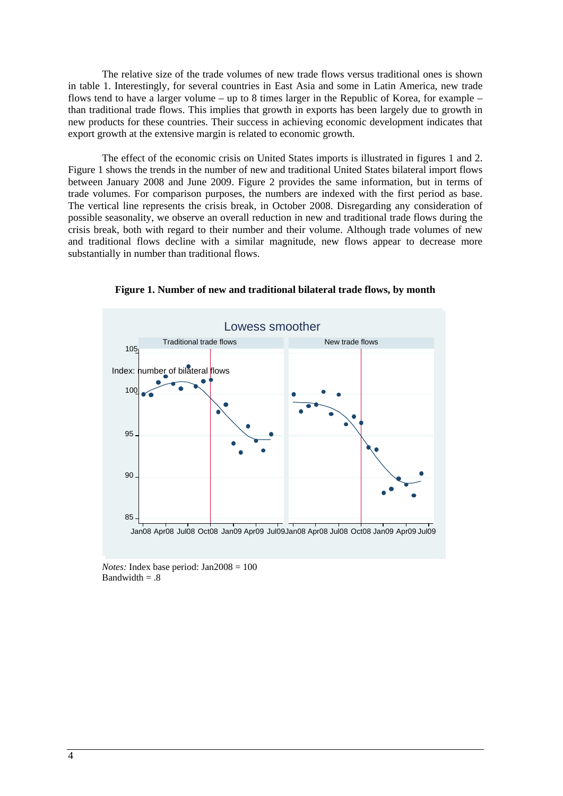The relative size of the trade volumes of new trade flows versus traditional ones is shown in table 1. Interestingly, for several countries in East Asia and some in Latin America, new trade flows tend to have a larger volume – up to 8 times larger in the Republic of Korea, for example – than traditional trade flows. This implies that growth in exports has been largely due to growth in new products for these countries. Their success in achieving economic development indicates that export growth at the extensive margin is related to economic growth.

The effect of the economic crisis on United States imports is illustrated in figures 1 and 2. Figure 1 shows the trends in the number of new and traditional United States bilateral import flows between January 2008 and June 2009. Figure 2 provides the same information, but in terms of trade volumes. For comparison purposes, the numbers are indexed with the first period as base. The vertical line represents the crisis break, in October 2008. Disregarding any consideration of possible seasonality, we observe an overall reduction in new and traditional trade flows during the crisis break, both with regard to their number and their volume. Although trade volumes of new and traditional flows decline with a similar magnitude, new flows appear to decrease more substantially in number than traditional flows.



**Figure 1. Number of new and traditional bilateral trade flows, by month** 

*Notes:* Index base period: Jan2008 = 100 Bandwidth  $= .8$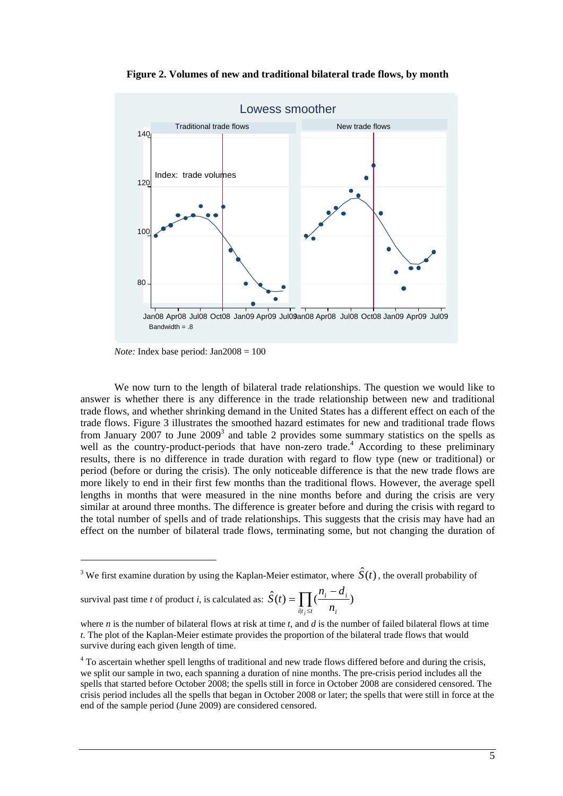

**Figure 2. Volumes of new and traditional bilateral trade flows, by month** 

*Note:* Index base period: Jan2008 = 100

We now turn to the length of bilateral trade relationships. The question we would like to answer is whether there is any difference in the trade relationship between new and traditional trade flows, and whether shrinking demand in the United States has a different effect on each of the trade flows. Figure 3 illustrates the smoothed hazard estimates for new and traditional trade flows from January  $2007$  to June  $2009<sup>3</sup>$  and table 2 provides some summary statistics on the spells as well as the country-product-periods that have non-zero trade.<sup>4</sup> According to these preliminary results, there is no difference in trade duration with regard to flow type (new or traditional) or period (before or during the crisis). The only noticeable difference is that the new trade flows are more likely to end in their first few months than the traditional flows. However, the average spell lengths in months that were measured in the nine months before and during the crisis are very similar at around three months. The difference is greater before and during the crisis with regard to the total number of spells and of trade relationships. This suggests that the crisis may have had an effect on the number of bilateral trade flows, terminating some, but not changing the duration of

survival past time  $t$  of product  $i$ , is calculated

1

$$
ext{ as: } \hat{S}(t) = \prod_{i|t_j \leq t} \left( \frac{n_i - d_i}{n_i} \right)
$$

where *n* is the number of bilateral flows at risk at time *t*, and *d* is the number of failed bilateral flows at time *t*. The plot of the Kaplan-Meier estimate provides the proportion of the bilateral trade flows that would survive during each given length of time.

<sup>&</sup>lt;sup>3</sup> We first examine duration by using the Kaplan-Meier estimator, where  $\hat{S}(t)$ , the overall probability of

<sup>&</sup>lt;sup>4</sup> To ascertain whether spell lengths of traditional and new trade flows differed before and during the crisis, we split our sample in two, each spanning a duration of nine months. The pre-crisis period includes all the spells that started before October 2008; the spells still in force in October 2008 are considered censored. The crisis period includes all the spells that began in October 2008 or later; the spells that were still in force at the end of the sample period (June 2009) are considered censored.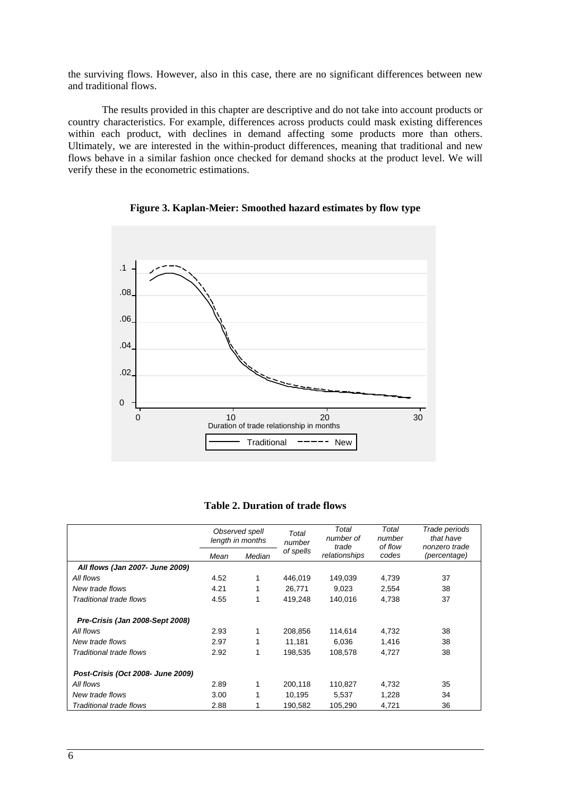the surviving flows. However, also in this case, there are no significant differences between new and traditional flows.

The results provided in this chapter are descriptive and do not take into account products or country characteristics. For example, differences across products could mask existing differences within each product, with declines in demand affecting some products more than others. Ultimately, we are interested in the within-product differences, meaning that traditional and new flows behave in a similar fashion once checked for demand shocks at the product level. We will verify these in the econometric estimations.



**Figure 3. Kaplan-Meier: Smoothed hazard estimates by flow type** 

| <b>Table 2. Duration of trade flows</b> |  |
|-----------------------------------------|--|
|-----------------------------------------|--|

|                                   |      | Observed spell<br>length in months | Total<br>number | Total<br>number of<br>trade | Total<br>number<br>of flow | Trade periods<br>that have<br>nonzero trade |
|-----------------------------------|------|------------------------------------|-----------------|-----------------------------|----------------------------|---------------------------------------------|
|                                   | Mean | Median                             | of spells       | relationships               | codes                      | (percentage)                                |
| All flows (Jan 2007- June 2009)   |      |                                    |                 |                             |                            |                                             |
| All flows                         | 4.52 | 1                                  | 446,019         | 149,039                     | 4,739                      | 37                                          |
| New trade flows                   | 4.21 | 1                                  | 26,771          | 9.023                       | 2,554                      | 38                                          |
| Traditional trade flows           | 4.55 | 1                                  | 419,248         | 140,016                     | 4,738                      | 37                                          |
| Pre-Crisis (Jan 2008-Sept 2008)   |      |                                    |                 |                             |                            |                                             |
| All flows                         | 2.93 | 1                                  | 208.856         | 114,614                     | 4,732                      | 38                                          |
| New trade flows                   | 2.97 | 1                                  | 11.181          | 6.036                       | 1,416                      | 38                                          |
| Traditional trade flows           | 2.92 | 1                                  | 198.535         | 108,578                     | 4,727                      | 38                                          |
| Post-Crisis (Oct 2008- June 2009) |      |                                    |                 |                             |                            |                                             |
| All flows                         | 2.89 | 1                                  | 200,118         | 110,827                     | 4,732                      | 35                                          |
| New trade flows                   | 3.00 |                                    | 10,195          | 5,537                       | 1,228                      | 34                                          |
| Traditional trade flows           | 2.88 |                                    | 190,582         | 105,290                     | 4,721                      | 36                                          |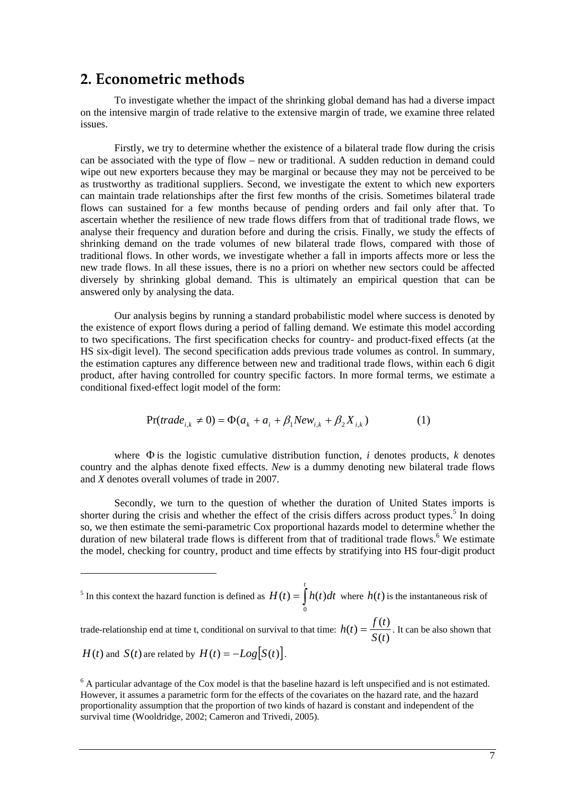## **2. Econometric methods**

1

To investigate whether the impact of the shrinking global demand has had a diverse impact on the intensive margin of trade relative to the extensive margin of trade, we examine three related issues.

Firstly, we try to determine whether the existence of a bilateral trade flow during the crisis can be associated with the type of flow – new or traditional. A sudden reduction in demand could wipe out new exporters because they may be marginal or because they may not be perceived to be as trustworthy as traditional suppliers. Second, we investigate the extent to which new exporters can maintain trade relationships after the first few months of the crisis. Sometimes bilateral trade flows can sustained for a few months because of pending orders and fail only after that. To ascertain whether the resilience of new trade flows differs from that of traditional trade flows, we analyse their frequency and duration before and during the crisis. Finally, we study the effects of shrinking demand on the trade volumes of new bilateral trade flows, compared with those of traditional flows. In other words, we investigate whether a fall in imports affects more or less the new trade flows. In all these issues, there is no a priori on whether new sectors could be affected diversely by shrinking global demand. This is ultimately an empirical question that can be answered only by analysing the data.

Our analysis begins by running a standard probabilistic model where success is denoted by the existence of export flows during a period of falling demand. We estimate this model according to two specifications. The first specification checks for country- and product-fixed effects (at the HS six-digit level). The second specification adds previous trade volumes as control. In summary, the estimation captures any difference between new and traditional trade flows, within each 6 digit product, after having controlled for country specific factors. In more formal terms, we estimate a conditional fixed-effect logit model of the form:

$$
Pr(trainde_{i,k} \neq 0) = \Phi(a_k + a_i + \beta_1 New_{i,k} + \beta_2 X_{i,k})
$$
 (1)

where  $\Phi$  is the logistic cumulative distribution function, *i* denotes products, *k* denotes country and the alphas denote fixed effects. *New* is a dummy denoting new bilateral trade flows and *X* denotes overall volumes of trade in 2007.

Secondly, we turn to the question of whether the duration of United States imports is shorter during the crisis and whether the effect of the crisis differs across product types.<sup>5</sup> In doing so, we then estimate the semi-parametric Cox proportional hazards model to determine whether the duration of new bilateral trade flows is different from that of traditional trade flows.<sup>6</sup> We estimate the model, checking for country, product and time effects by stratifying into HS four-digit product

<sup>5</sup> In this context the hazard function is defined as  $H(t) = \int$ *t*  $H(t) = \int h(t) dt$  $\mathbf 0$  $(t) = \int h(t)dt$  where  $h(t)$  is the instantaneous risk of

trade-relationship end at time t, conditional on survival to that time:  $h(t) = \frac{f(t)}{S(t)}$ . It can be also shown that *H*(*t*) and *S*(*t*) are related by  $H(t) = -Log[S(t)].$ 

 $6$  A particular advantage of the Cox model is that the baseline hazard is left unspecified and is not estimated. However, it assumes a parametric form for the effects of the covariates on the hazard rate, and the hazard proportionality assumption that the proportion of two kinds of hazard is constant and independent of the survival time (Wooldridge, 2002; Cameron and Trivedi, 2005).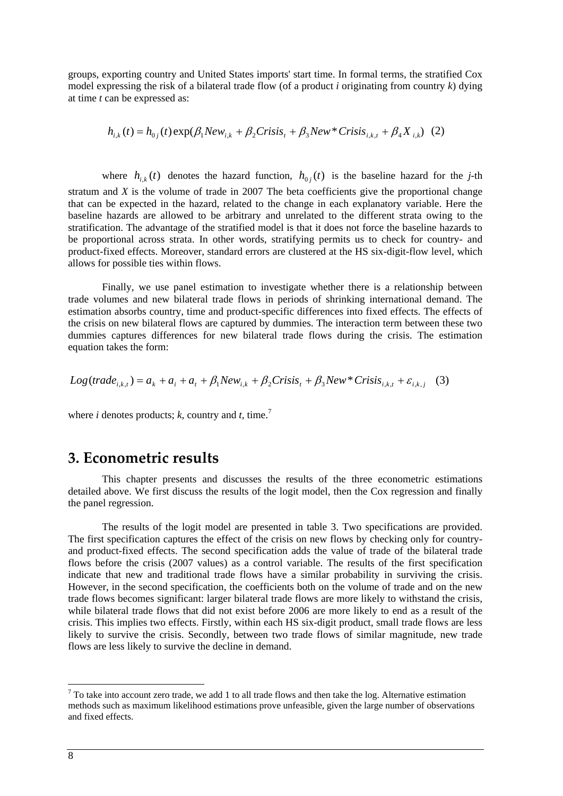groups, exporting country and United States imports' start time. In formal terms, the stratified Cox model expressing the risk of a bilateral trade flow (of a product *i* originating from country *k*) dying at time *t* can be expressed as:

$$
h_{i,k}(t) = h_{0j}(t) \exp(\beta_1 N e w_{i,k} + \beta_2 C r i s i s_t + \beta_3 N e w^* C r i s i s_{i,k,t} + \beta_4 X_{i,k})
$$
 (2)

where  $h_{i,k}(t)$  denotes the hazard function,  $h_{0,i}(t)$  is the baseline hazard for the *j*-th stratum and *X* is the volume of trade in 2007 The beta coefficients give the proportional change that can be expected in the hazard, related to the change in each explanatory variable. Here the baseline hazards are allowed to be arbitrary and unrelated to the different strata owing to the stratification. The advantage of the stratified model is that it does not force the baseline hazards to be proportional across strata. In other words, stratifying permits us to check for country- and product-fixed effects. Moreover, standard errors are clustered at the HS six-digit-flow level, which allows for possible ties within flows.

Finally, we use panel estimation to investigate whether there is a relationship between trade volumes and new bilateral trade flows in periods of shrinking international demand. The estimation absorbs country, time and product-specific differences into fixed effects. The effects of the crisis on new bilateral flows are captured by dummies. The interaction term between these two dummies captures differences for new bilateral trade flows during the crisis. The estimation equation takes the form:

$$
Log(traine_{i,k,t}) = a_k + a_i + a_t + \beta_1 New_{i,k} + \beta_2 Crisis_t + \beta_3 New * Crisis_{i,k,t} + \varepsilon_{i,k,j} \quad (3)
$$

where *i* denotes products;  $k$ , country and  $t$ , time.<sup>7</sup>

## **3. Econometric results**

This chapter presents and discusses the results of the three econometric estimations detailed above. We first discuss the results of the logit model, then the Cox regression and finally the panel regression.

The results of the logit model are presented in table 3. Two specifications are provided. The first specification captures the effect of the crisis on new flows by checking only for countryand product-fixed effects. The second specification adds the value of trade of the bilateral trade flows before the crisis (2007 values) as a control variable. The results of the first specification indicate that new and traditional trade flows have a similar probability in surviving the crisis. However, in the second specification, the coefficients both on the volume of trade and on the new trade flows becomes significant: larger bilateral trade flows are more likely to withstand the crisis, while bilateral trade flows that did not exist before 2006 are more likely to end as a result of the crisis. This implies two effects. Firstly, within each HS six-digit product, small trade flows are less likely to survive the crisis. Secondly, between two trade flows of similar magnitude, new trade flows are less likely to survive the decline in demand.

1

 $<sup>7</sup>$  To take into account zero trade, we add 1 to all trade flows and then take the log. Alternative estimation</sup> methods such as maximum likelihood estimations prove unfeasible, given the large number of observations and fixed effects.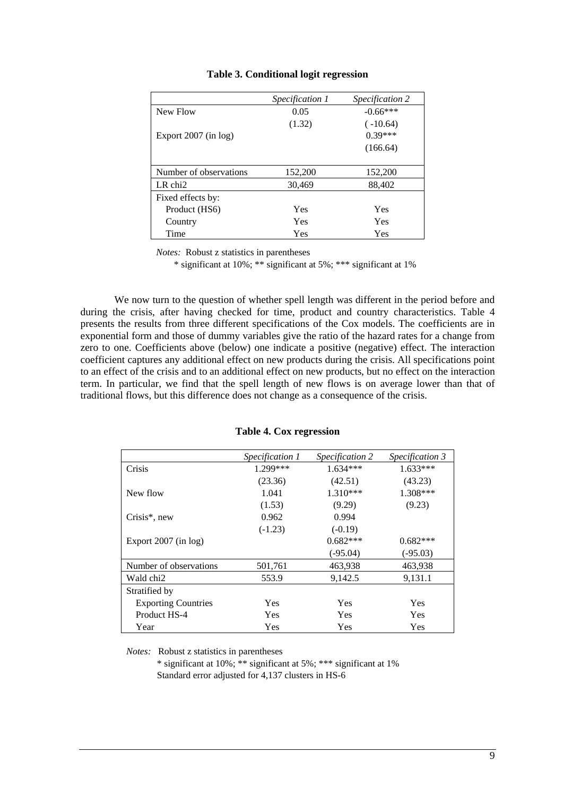|                        | <i>Specification 1</i> | <i>Specification 2</i> |
|------------------------|------------------------|------------------------|
| New Flow               | 0.05                   | $-0.66***$             |
|                        | (1.32)                 | $(-10.64)$             |
| Export $2007$ (in log) |                        | $0.39***$              |
|                        |                        | (166.64)               |
|                        |                        |                        |
| Number of observations | 152,200                | 152,200                |
| $LR$ chi $2$           | 30,469                 | 88,402                 |
| Fixed effects by:      |                        |                        |
| Product (HS6)          | Yes                    | Yes                    |
| Country                | Yes                    | Yes                    |
| Time                   | Yes                    | Yes                    |

### **Table 3. Conditional logit regression**

*Notes:* Robust z statistics in parentheses

\* significant at 10%; \*\* significant at 5%; \*\*\* significant at 1%

We now turn to the question of whether spell length was different in the period before and during the crisis, after having checked for time, product and country characteristics. Table 4 presents the results from three different specifications of the Cox models. The coefficients are in exponential form and those of dummy variables give the ratio of the hazard rates for a change from zero to one. Coefficients above (below) one indicate a positive (negative) effect. The interaction coefficient captures any additional effect on new products during the crisis. All specifications point to an effect of the crisis and to an additional effect on new products, but no effect on the interaction term. In particular, we find that the spell length of new flows is on average lower than that of traditional flows, but this difference does not change as a consequence of the crisis.

|                            | Specification 1 | Specification 2 | Specification 3 |
|----------------------------|-----------------|-----------------|-----------------|
| Crisis                     | 1.299***        | $1.634***$      | $1.633***$      |
|                            | (23.36)         | (42.51)         | (43.23)         |
| New flow                   | 1.041           | 1.310***        | 1.308***        |
|                            | (1.53)          | (9.29)          | (9.23)          |
| Crisis*, new               | 0.962           | 0.994           |                 |
|                            | $(-1.23)$       | $(-0.19)$       |                 |
| Export $2007$ (in log)     |                 | $0.682***$      | $0.682***$      |
|                            |                 | $(-95.04)$      | $(-95.03)$      |
| Number of observations     | 501,761         | 463,938         | 463,938         |
| Wald chi2                  | 553.9           | 9,142.5         | 9,131.1         |
| Stratified by              |                 |                 |                 |
| <b>Exporting Countries</b> | Yes             | Yes             | Yes             |
| Product HS-4               | Yes             | <b>Yes</b>      | Yes             |
| Year                       | Yes             | Yes             | Yes             |

#### **Table 4. Cox regression**

*Notes:* Robust z statistics in parentheses

\* significant at 10%; \*\* significant at 5%; \*\*\* significant at 1% Standard error adjusted for 4,137 clusters in HS-6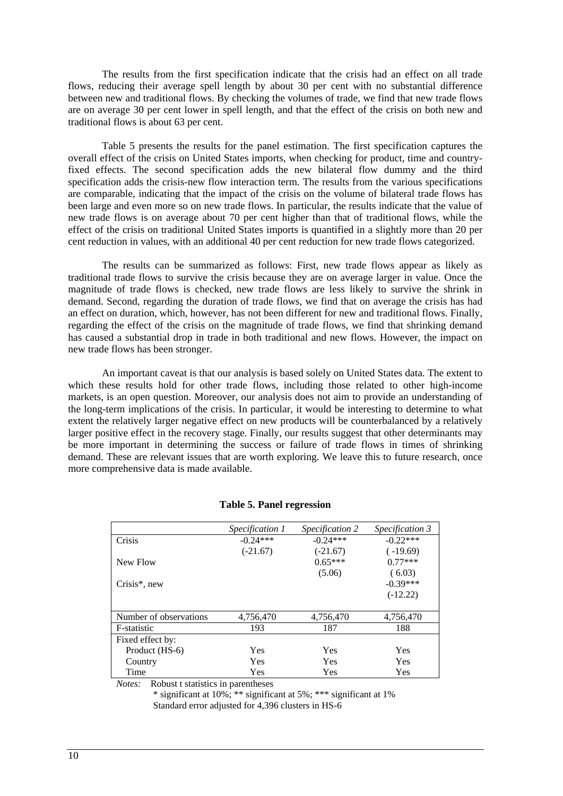The results from the first specification indicate that the crisis had an effect on all trade flows, reducing their average spell length by about 30 per cent with no substantial difference between new and traditional flows. By checking the volumes of trade, we find that new trade flows are on average 30 per cent lower in spell length, and that the effect of the crisis on both new and traditional flows is about 63 per cent.

Table 5 presents the results for the panel estimation. The first specification captures the overall effect of the crisis on United States imports, when checking for product, time and countryfixed effects. The second specification adds the new bilateral flow dummy and the third specification adds the crisis-new flow interaction term. The results from the various specifications are comparable, indicating that the impact of the crisis on the volume of bilateral trade flows has been large and even more so on new trade flows. In particular, the results indicate that the value of new trade flows is on average about 70 per cent higher than that of traditional flows, while the effect of the crisis on traditional United States imports is quantified in a slightly more than 20 per cent reduction in values, with an additional 40 per cent reduction for new trade flows categorized.

The results can be summarized as follows: First, new trade flows appear as likely as traditional trade flows to survive the crisis because they are on average larger in value. Once the magnitude of trade flows is checked, new trade flows are less likely to survive the shrink in demand. Second, regarding the duration of trade flows, we find that on average the crisis has had an effect on duration, which, however, has not been different for new and traditional flows. Finally, regarding the effect of the crisis on the magnitude of trade flows, we find that shrinking demand has caused a substantial drop in trade in both traditional and new flows. However, the impact on new trade flows has been stronger.

An important caveat is that our analysis is based solely on United States data. The extent to which these results hold for other trade flows, including those related to other high-income markets, is an open question. Moreover, our analysis does not aim to provide an understanding of the long-term implications of the crisis. In particular, it would be interesting to determine to what extent the relatively larger negative effect on new products will be counterbalanced by a relatively larger positive effect in the recovery stage. Finally, our results suggest that other determinants may be more important in determining the success or failure of trade flows in times of shrinking demand. These are relevant issues that are worth exploring. We leave this to future research, once more comprehensive data is made available.

|                        | Specification 1 | <i>Specification 2</i> | Specification 3 |
|------------------------|-----------------|------------------------|-----------------|
| Crisis                 | $-0.24***$      | $-0.24***$             | $-0.22***$      |
|                        | $(-21.67)$      | $(-21.67)$             | $(-19.69)$      |
| New Flow               |                 | $0.65***$              | $0.77***$       |
|                        |                 | (5.06)                 | (6.03)          |
| $Crisis^*$ , new       |                 |                        | $-0.39***$      |
|                        |                 |                        | $(-12.22)$      |
|                        |                 |                        |                 |
| Number of observations | 4,756,470       | 4,756,470              | 4,756,470       |
| F-statistic            | 193             | 187                    | 188             |
| Fixed effect by:       |                 |                        |                 |
| Product (HS-6)         | Yes             | Yes                    | <b>Yes</b>      |
| Country                | <b>Yes</b>      | Yes                    | Yes             |
| Time                   | Yes             | Yes                    | Yes             |

#### **Table 5. Panel regression**

*Notes:* Robust t statistics in parentheses

\* significant at 10%; \*\* significant at 5%; \*\*\* significant at 1% Standard error adjusted for 4,396 clusters in HS-6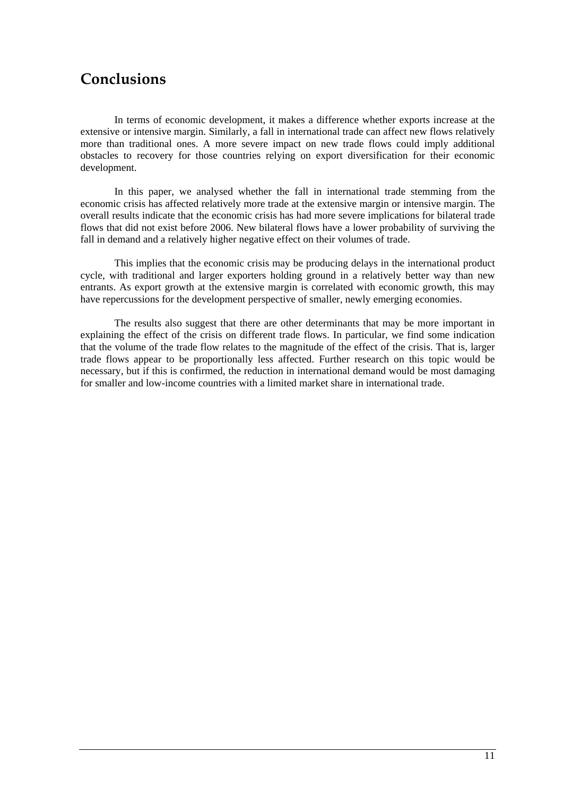# **Conclusions**

In terms of economic development, it makes a difference whether exports increase at the extensive or intensive margin. Similarly, a fall in international trade can affect new flows relatively more than traditional ones. A more severe impact on new trade flows could imply additional obstacles to recovery for those countries relying on export diversification for their economic development.

In this paper, we analysed whether the fall in international trade stemming from the economic crisis has affected relatively more trade at the extensive margin or intensive margin. The overall results indicate that the economic crisis has had more severe implications for bilateral trade flows that did not exist before 2006. New bilateral flows have a lower probability of surviving the fall in demand and a relatively higher negative effect on their volumes of trade.

This implies that the economic crisis may be producing delays in the international product cycle, with traditional and larger exporters holding ground in a relatively better way than new entrants. As export growth at the extensive margin is correlated with economic growth, this may have repercussions for the development perspective of smaller, newly emerging economies.

The results also suggest that there are other determinants that may be more important in explaining the effect of the crisis on different trade flows. In particular, we find some indication that the volume of the trade flow relates to the magnitude of the effect of the crisis. That is, larger trade flows appear to be proportionally less affected. Further research on this topic would be necessary, but if this is confirmed, the reduction in international demand would be most damaging for smaller and low-income countries with a limited market share in international trade.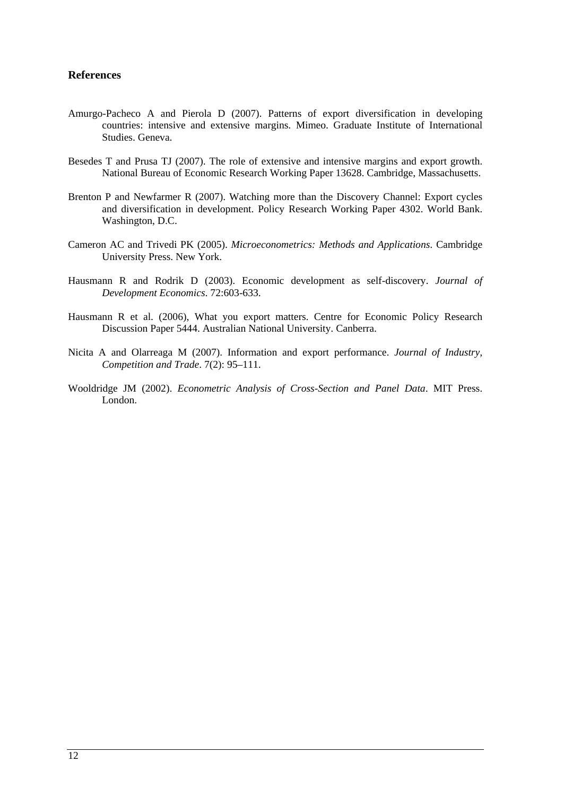### **References**

- Amurgo-Pacheco A and Pierola D (2007). Patterns of export diversification in developing countries: intensive and extensive margins. Mimeo. Graduate Institute of International Studies. Geneva.
- Besedes T and Prusa TJ (2007). The role of extensive and intensive margins and export growth. National Bureau of Economic Research Working Paper 13628. Cambridge, Massachusetts.
- Brenton P and Newfarmer R (2007). Watching more than the Discovery Channel: Export cycles and diversification in development. Policy Research Working Paper 4302. World Bank. Washington, D.C.
- Cameron AC and Trivedi PK (2005). *Microeconometrics: Methods and Applications*. Cambridge University Press. New York.
- Hausmann R and Rodrik D (2003). Economic development as self-discovery. *Journal of Development Economics*. 72:603-633.
- Hausmann R et al. (2006), What you export matters. Centre for Economic Policy Research Discussion Paper 5444. Australian National University. Canberra.
- Nicita A and Olarreaga M (2007). Information and export performance. *Journal of Industry, Competition and Trade*. 7(2): 95–111.
- Wooldridge JM (2002). *Econometric Analysis of Cross-Section and Panel Data*. MIT Press. London.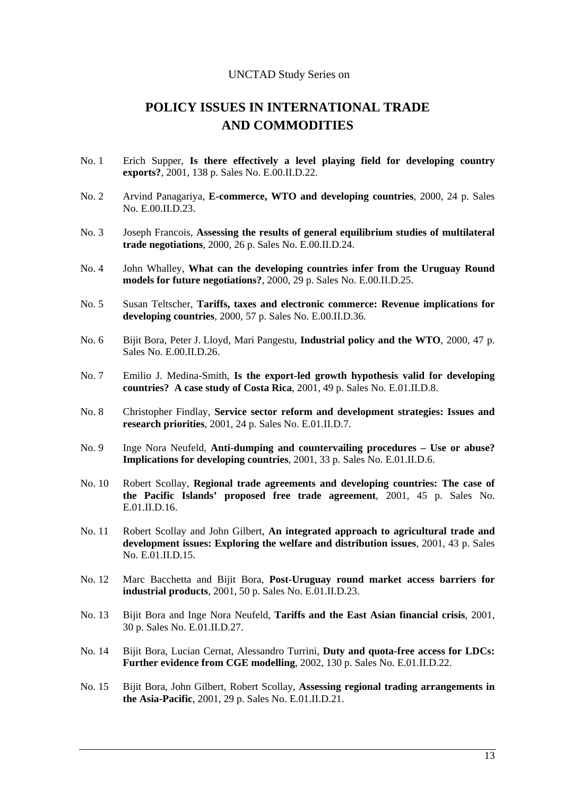#### UNCTAD Study Series on

## **POLICY ISSUES IN INTERNATIONAL TRADE AND COMMODITIES**

- No. 1 Erich Supper, **Is there effectively a level playing field for developing country exports?**, 2001, 138 p. Sales No. E.00.II.D.22.
- No. 2 Arvind Panagariya, **E-commerce, WTO and developing countries**, 2000, 24 p. Sales No. E.00.II.D.23.
- No. 3 Joseph Francois, **Assessing the results of general equilibrium studies of multilateral trade negotiations**, 2000, 26 p. Sales No. E.00.II.D.24.
- No. 4 John Whalley, **What can the developing countries infer from the Uruguay Round models for future negotiations?**, 2000, 29 p. Sales No. E.00.II.D.25.
- No. 5 Susan Teltscher, **Tariffs, taxes and electronic commerce: Revenue implications for developing countries**, 2000, 57 p. Sales No. E.00.II.D.36.
- No. 6 Bijit Bora, Peter J. Lloyd, Mari Pangestu, **Industrial policy and the WTO**, 2000, 47 p. Sales No. E.00.II.D.26.
- No. 7 Emilio J. Medina-Smith, **Is the export-led growth hypothesis valid for developing countries? A case study of Costa Rica**, 2001, 49 p. Sales No. E.01.II.D.8.
- No. 8 Christopher Findlay, **Service sector reform and development strategies: Issues and research priorities**, 2001, 24 p. Sales No. E.01.II.D.7.
- No. 9 Inge Nora Neufeld, **Anti-dumping and countervailing procedures Use or abuse? Implications for developing countries**, 2001, 33 p. Sales No. E.01.II.D.6.
- No. 10 Robert Scollay, **Regional trade agreements and developing countries: The case of the Pacific Islands' proposed free trade agreement**, 2001, 45 p. Sales No.  $E.01$  II D 16
- No. 11 Robert Scollay and John Gilbert, **An integrated approach to agricultural trade and development issues: Exploring the welfare and distribution issues**, 2001, 43 p. Sales No. E.01.II.D.15.
- No. 12 Marc Bacchetta and Bijit Bora, **Post-Uruguay round market access barriers for industrial products**, 2001, 50 p. Sales No. E.01.II.D.23.
- No. 13 Bijit Bora and Inge Nora Neufeld, **Tariffs and the East Asian financial crisis**, 2001, 30 p. Sales No. E.01.II.D.27.
- No. 14 Bijit Bora, Lucian Cernat, Alessandro Turrini, **Duty and quota-free access for LDCs: Further evidence from CGE modelling**, 2002, 130 p. Sales No. E.01.II.D.22.
- No. 15 Bijit Bora, John Gilbert, Robert Scollay, **Assessing regional trading arrangements in the Asia-Pacific**, 2001, 29 p. Sales No. E.01.II.D.21.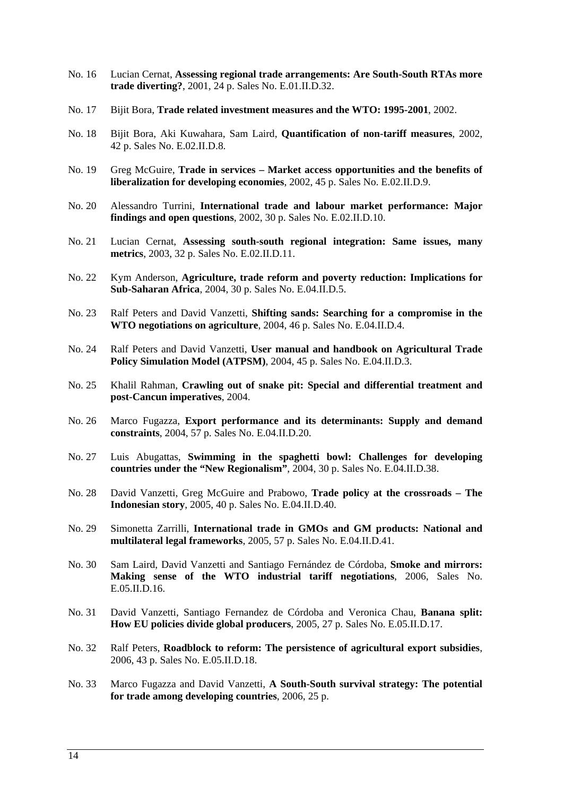- No. 16 Lucian Cernat, **Assessing regional trade arrangements: Are South-South RTAs more trade diverting?**, 2001, 24 p. Sales No. E.01.II.D.32.
- No. 17 Bijit Bora, **Trade related investment measures and the WTO: 1995-2001**, 2002.
- No. 18 Bijit Bora, Aki Kuwahara, Sam Laird, **Quantification of non-tariff measures**, 2002, 42 p. Sales No. E.02.II.D.8.
- No. 19 Greg McGuire, **Trade in services Market access opportunities and the benefits of liberalization for developing economies**, 2002, 45 p. Sales No. E.02.II.D.9.
- No. 20 Alessandro Turrini, **International trade and labour market performance: Major findings and open questions**, 2002, 30 p. Sales No. E.02.II.D.10.
- No. 21 Lucian Cernat, **Assessing south-south regional integration: Same issues, many metrics**, 2003, 32 p. Sales No. E.02.II.D.11.
- No. 22 Kym Anderson, **Agriculture, trade reform and poverty reduction: Implications for Sub-Saharan Africa**, 2004, 30 p. Sales No. E.04.II.D.5.
- No. 23 Ralf Peters and David Vanzetti, **Shifting sands: Searching for a compromise in the WTO negotiations on agriculture**, 2004, 46 p. Sales No. E.04.II.D.4.
- No. 24 Ralf Peters and David Vanzetti, **User manual and handbook on Agricultural Trade Policy Simulation Model (ATPSM)**, 2004, 45 p. Sales No. E.04.II.D.3.
- No. 25 Khalil Rahman, **Crawling out of snake pit: Special and differential treatment and post-Cancun imperatives**, 2004.
- No. 26 Marco Fugazza, **Export performance and its determinants: Supply and demand constraints**, 2004, 57 p. Sales No. E.04.II.D.20.
- No. 27 Luis Abugattas, **Swimming in the spaghetti bowl: Challenges for developing countries under the "New Regionalism"**, 2004, 30 p. Sales No. E.04.II.D.38.
- No. 28 David Vanzetti, Greg McGuire and Prabowo, **Trade policy at the crossroads The Indonesian story**, 2005, 40 p. Sales No. E.04.II.D.40.
- No. 29 Simonetta Zarrilli, **International trade in GMOs and GM products: National and multilateral legal frameworks**, 2005, 57 p. Sales No. E.04.II.D.41.
- No. 30 Sam Laird, David Vanzetti and Santiago Fernández de Córdoba, **Smoke and mirrors: Making sense of the WTO industrial tariff negotiations**, 2006, Sales No. E.05.II.D.16.
- No. 31 David Vanzetti, Santiago Fernandez de Córdoba and Veronica Chau, **Banana split: How EU policies divide global producers**, 2005, 27 p. Sales No. E.05.II.D.17.
- No. 32 Ralf Peters, **Roadblock to reform: The persistence of agricultural export subsidies**, 2006, 43 p. Sales No. E.05.II.D.18.
- No. 33 Marco Fugazza and David Vanzetti, **A South-South survival strategy: The potential for trade among developing countries**, 2006, 25 p.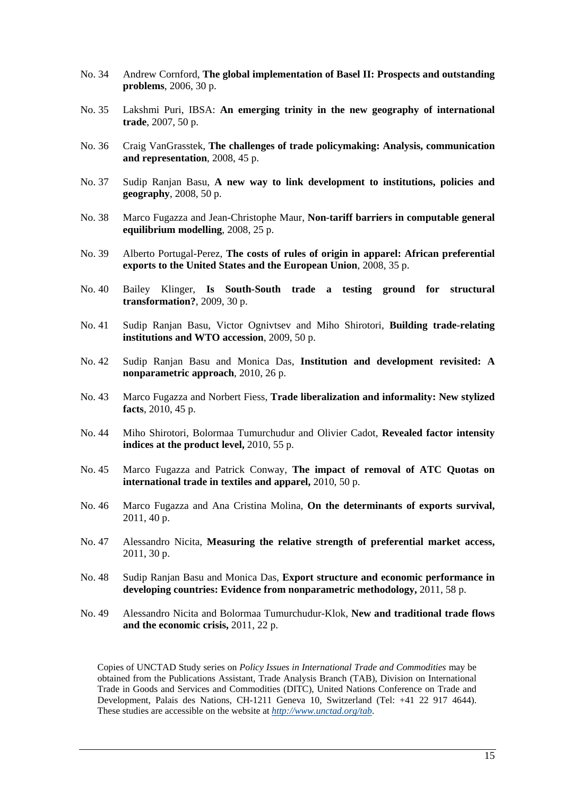- No. 34 Andrew Cornford, **The global implementation of Basel II: Prospects and outstanding problems**, 2006, 30 p.
- No. 35 Lakshmi Puri, IBSA: **An emerging trinity in the new geography of international trade**, 2007, 50 p.
- No. 36 Craig VanGrasstek, **The challenges of trade policymaking: Analysis, communication and representation**, 2008, 45 p.
- No. 37 Sudip Ranjan Basu, **A new way to link development to institutions, policies and geography**, 2008, 50 p.
- No. 38 Marco Fugazza and Jean-Christophe Maur, **Non-tariff barriers in computable general equilibrium modelling**, 2008, 25 p.
- No. 39 Alberto Portugal-Perez, **The costs of rules of origin in apparel: African preferential exports to the United States and the European Union**, 2008, 35 p.
- No. 40 Bailey Klinger, **Is South-South trade a testing ground for structural transformation?**, 2009, 30 p.
- No. 41 Sudip Ranjan Basu, Victor Ognivtsev and Miho Shirotori, **Building trade-relating institutions and WTO accession**, 2009, 50 p.
- No. 42 Sudip Ranjan Basu and Monica Das, **Institution and development revisited: A nonparametric approach**, 2010, 26 p.
- No. 43 Marco Fugazza and Norbert Fiess, **Trade liberalization and informality: New stylized facts**, 2010, 45 p.
- No. 44 Miho Shirotori, Bolormaa Tumurchudur and Olivier Cadot, **Revealed factor intensity indices at the product level,** 2010, 55 p.
- No. 45 Marco Fugazza and Patrick Conway, **The impact of removal of ATC Quotas on international trade in textiles and apparel,** 2010, 50 p.
- No. 46 Marco Fugazza and Ana Cristina Molina, **On the determinants of exports survival,**  2011, 40 p.
- No. 47 Alessandro Nicita, **Measuring the relative strength of preferential market access,**  2011, 30 p.
- No. 48 Sudip Ranjan Basu and Monica Das, **Export structure and economic performance in developing countries: Evidence from nonparametric methodology,** 2011, 58 p.
- No. 49 Alessandro Nicita and Bolormaa Tumurchudur-Klok, **New and traditional trade flows and the economic crisis,** 2011, 22 p.

Copies of UNCTAD Study series on *Policy Issues in International Trade and Commodities* may be obtained from the Publications Assistant, Trade Analysis Branch (TAB), Division on International Trade in Goods and Services and Commodities (DITC), United Nations Conference on Trade and Development, Palais des Nations, CH-1211 Geneva 10, Switzerland (Tel: +41 22 917 4644). These studies are accessible on the website at *http://www.unctad.org/tab*.